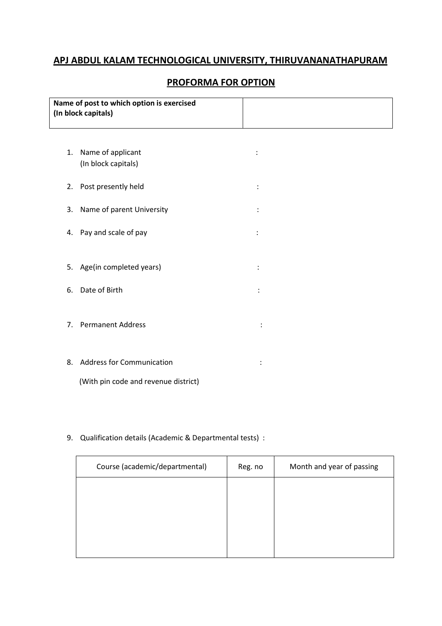## APJ ABDUL KALAM TECHNOLOGICAL UNIVERSITY, THIRUVANANATHAPURAM

# PROFORMA FOR OPTION

| Name of post to which option is exercised |  |
|-------------------------------------------|--|
| (In block capitals)                       |  |
|                                           |  |

| 1. | Name of applicant<br>(In block capitals) |  |
|----|------------------------------------------|--|
| 2. | Post presently held                      |  |
| 3. | Name of parent University                |  |
|    | 4. Pay and scale of pay                  |  |
|    |                                          |  |
|    | 5. Age(in completed years)               |  |
|    | 6. Date of Birth                         |  |
|    | 7. Permanent Address                     |  |
| 8. | <b>Address for Communication</b>         |  |

(With pin code and revenue district)

## 9. Qualification details (Academic & Departmental tests) :

| Course (academic/departmental) | Reg. no | Month and year of passing |
|--------------------------------|---------|---------------------------|
|                                |         |                           |
|                                |         |                           |
|                                |         |                           |
|                                |         |                           |